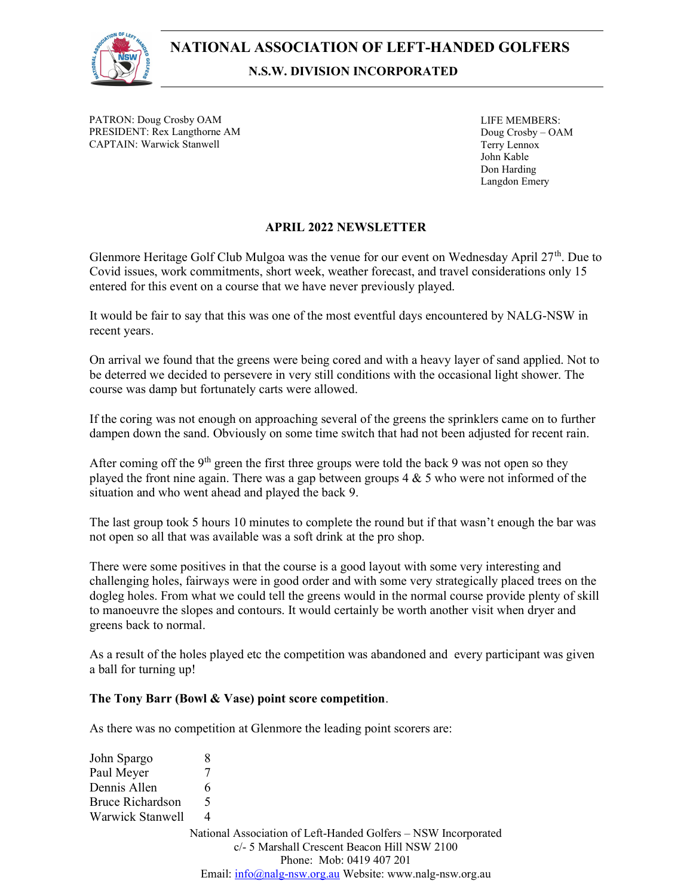

PATRON: Doug Crosby OAM PRESIDENT: Rex Langthorne AM CAPTAIN: Warwick Stanwell

LIFE MEMBERS: Doug Crosby – OAM Terry Lennox John Kable Don Harding Langdon Emery

# APRIL 2022 NEWSLETTER

Glenmore Heritage Golf Club Mulgoa was the venue for our event on Wednesday April 27<sup>th</sup>. Due to Covid issues, work commitments, short week, weather forecast, and travel considerations only 15 entered for this event on a course that we have never previously played.

It would be fair to say that this was one of the most eventful days encountered by NALG-NSW in recent years.

On arrival we found that the greens were being cored and with a heavy layer of sand applied. Not to be deterred we decided to persevere in very still conditions with the occasional light shower. The course was damp but fortunately carts were allowed.

If the coring was not enough on approaching several of the greens the sprinklers came on to further dampen down the sand. Obviously on some time switch that had not been adjusted for recent rain.

After coming off the 9<sup>th</sup> green the first three groups were told the back 9 was not open so they played the front nine again. There was a gap between groups  $4 \& 5$  who were not informed of the situation and who went ahead and played the back 9.

The last group took 5 hours 10 minutes to complete the round but if that wasn't enough the bar was not open so all that was available was a soft drink at the pro shop.

There were some positives in that the course is a good layout with some very interesting and challenging holes, fairways were in good order and with some very strategically placed trees on the dogleg holes. From what we could tell the greens would in the normal course provide plenty of skill to manoeuvre the slopes and contours. It would certainly be worth another visit when dryer and greens back to normal.

As a result of the holes played etc the competition was abandoned and every participant was given a ball for turning up!

## The Tony Barr (Bowl & Vase) point score competition.

As there was no competition at Glenmore the leading point scorers are:

| John Spargo      |                                                                |
|------------------|----------------------------------------------------------------|
| Paul Meyer       |                                                                |
| Dennis Allen     | 6                                                              |
| Bruce Richardson |                                                                |
| Warwick Stanwell | 4                                                              |
|                  | National Association of Left-Handed Golfers - NSW Incorporated |
|                  | c/- 5 Marshall Crescent Beacon Hill NSW 2100                   |
|                  | Phone: Mob: 0419 407 201                                       |
|                  | Email: info@nalg-nsw.org.au Website: www.nalg-nsw.org.au       |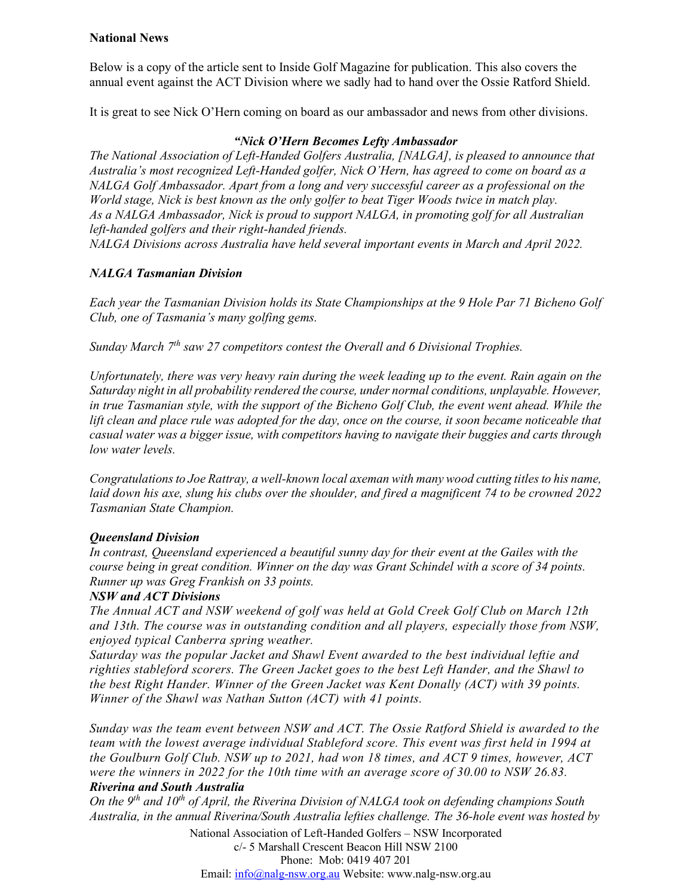## National News

Below is a copy of the article sent to Inside Golf Magazine for publication. This also covers the annual event against the ACT Division where we sadly had to hand over the Ossie Ratford Shield.

It is great to see Nick O'Hern coming on board as our ambassador and news from other divisions.

#### "Nick O'Hern Becomes Lefty Ambassador

The National Association of Left-Handed Golfers Australia, [NALGA], is pleased to announce that Australia's most recognized Left-Handed golfer, Nick O'Hern, has agreed to come on board as a NALGA Golf Ambassador. Apart from a long and very successful career as a professional on the World stage, Nick is best known as the only golfer to beat Tiger Woods twice in match play. As a NALGA Ambassador, Nick is proud to support NALGA, in promoting golf for all Australian left-handed golfers and their right-handed friends.

NALGA Divisions across Australia have held several important events in March and April 2022.

# NALGA Tasmanian Division

Each year the Tasmanian Division holds its State Championships at the 9 Hole Par 71 Bicheno Golf Club, one of Tasmania's many golfing gems.

Sunday March  $7<sup>th</sup>$  saw 27 competitors contest the Overall and 6 Divisional Trophies.

Unfortunately, there was very heavy rain during the week leading up to the event. Rain again on the Saturday night in all probability rendered the course, under normal conditions, unplayable. However, in true Tasmanian style, with the support of the Bicheno Golf Club, the event went ahead. While the lift clean and place rule was adopted for the day, once on the course, it soon became noticeable that casual water was a bigger issue, with competitors having to navigate their buggies and carts through low water levels.

Congratulations to Joe Rattray, a well-known local axeman with many wood cutting titles to his name, laid down his axe, slung his clubs over the shoulder, and fired a magnificent 74 to be crowned 2022 Tasmanian State Champion.

## Queensland Division

In contrast, Queensland experienced a beautiful sunny day for their event at the Gailes with the course being in great condition. Winner on the day was Grant Schindel with a score of 34 points. Runner up was Greg Frankish on 33 points.

#### NSW and ACT Divisions

The Annual ACT and NSW weekend of golf was held at Gold Creek Golf Club on March 12th and 13th. The course was in outstanding condition and all players, especially those from NSW, enjoyed typical Canberra spring weather.

Saturday was the popular Jacket and Shawl Event awarded to the best individual leftie and righties stableford scorers. The Green Jacket goes to the best Left Hander, and the Shawl to the best Right Hander. Winner of the Green Jacket was Kent Donally (ACT) with 39 points. Winner of the Shawl was Nathan Sutton (ACT) with 41 points.

Sunday was the team event between NSW and ACT. The Ossie Ratford Shield is awarded to the team with the lowest average individual Stableford score. This event was first held in 1994 at the Goulburn Golf Club. NSW up to 2021, had won 18 times, and ACT 9 times, however, ACT were the winners in 2022 for the 10th time with an average score of 30.00 to NSW 26.83. Riverina and South Australia

On the  $9<sup>th</sup>$  and  $10<sup>th</sup>$  of April, the Riverina Division of NALGA took on defending champions South Australia, in the annual Riverina/South Australia lefties challenge. The 36-hole event was hosted by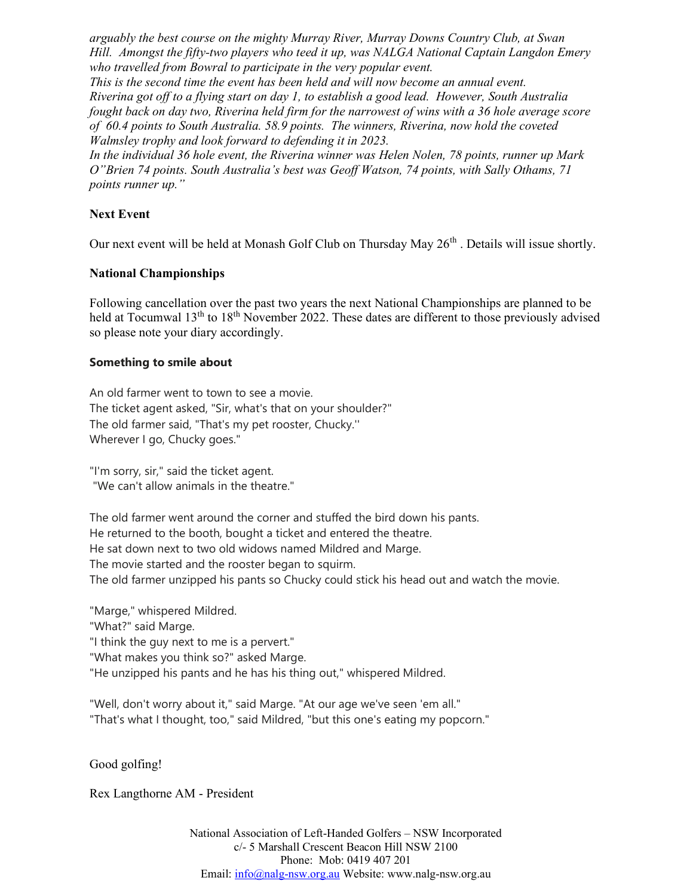arguably the best course on the mighty Murray River, Murray Downs Country Club, at Swan Hill. Amongst the fifty-two players who teed it up, was NALGA National Captain Langdon Emery who travelled from Bowral to participate in the very popular event.

This is the second time the event has been held and will now become an annual event. Riverina got off to a flying start on day 1, to establish a good lead. However, South Australia fought back on day two, Riverina held firm for the narrowest of wins with a 36 hole average score of 60.4 points to South Australia. 58.9 points. The winners, Riverina, now hold the coveted Walmsley trophy and look forward to defending it in 2023.

In the individual 36 hole event, the Riverina winner was Helen Nolen, 78 points, runner up Mark O"Brien 74 points. South Australia's best was Geoff Watson, 74 points, with Sally Othams, 71 points runner up."

## Next Event

Our next event will be held at Monash Golf Club on Thursday May  $26<sup>th</sup>$ . Details will issue shortly.

#### National Championships

Following cancellation over the past two years the next National Championships are planned to be held at Tocumwal 13<sup>th</sup> to 18<sup>th</sup> November 2022. These dates are different to those previously advised so please note your diary accordingly.

#### Something to smile about

An old farmer went to town to see a movie. The ticket agent asked, "Sir, what's that on your shoulder?" The old farmer said, "That's my pet rooster, Chucky.'' Wherever I go, Chucky goes."

"I'm sorry, sir," said the ticket agent. "We can't allow animals in the theatre."

The old farmer went around the corner and stuffed the bird down his pants. He returned to the booth, bought a ticket and entered the theatre. He sat down next to two old widows named Mildred and Marge. The movie started and the rooster began to squirm. The old farmer unzipped his pants so Chucky could stick his head out and watch the movie.

"Marge," whispered Mildred. "What?" said Marge. "I think the guy next to me is a pervert." "What makes you think so?" asked Marge. "He unzipped his pants and he has his thing out," whispered Mildred.

"Well, don't worry about it," said Marge. "At our age we've seen 'em all." "That's what I thought, too," said Mildred, "but this one's eating my popcorn."

Good golfing!

Rex Langthorne AM - President